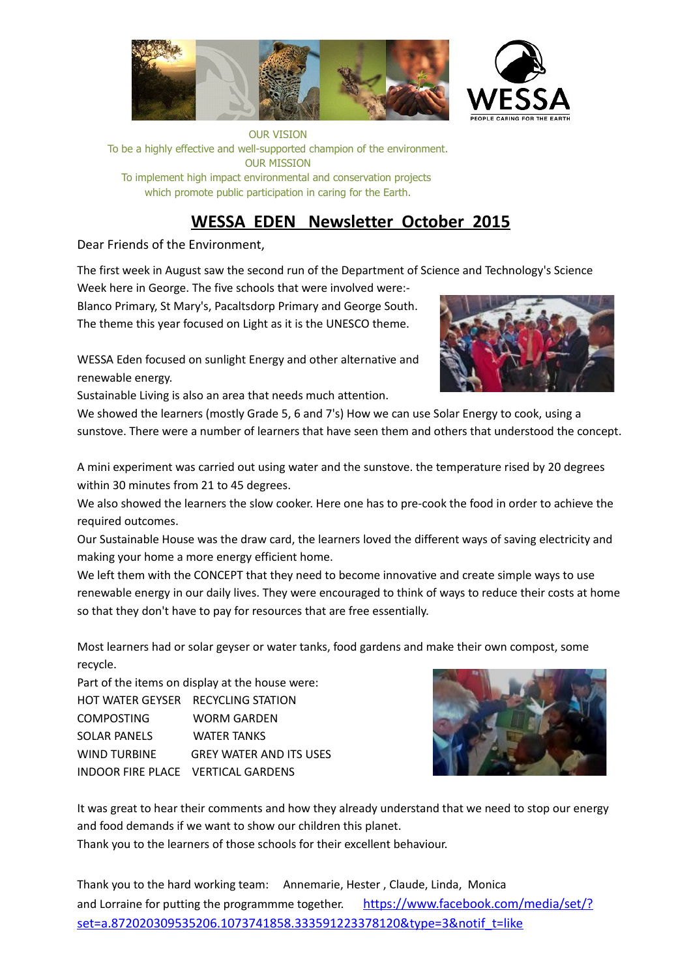

OUR VISION To be a highly effective and well-supported champion of the environment. OUR MISSION To implement high impact environmental and conservation projects which promote public participation in caring for the Earth.

# **WESSA EDEN Newsletter October 2015**

Dear Friends of the Environment,

The first week in August saw the second run of the Department of Science and Technology's Science

Week here in George. The five schools that were involved were:- Blanco Primary, St Mary's, Pacaltsdorp Primary and George South. The theme this year focused on Light as it is the UNESCO theme.

WESSA Eden focused on sunlight Energy and other alternative and renewable energy.

Sustainable Living is also an area that needs much attention.



We showed the learners (mostly Grade 5, 6 and 7's) How we can use Solar Energy to cook, using a sunstove. There were a number of learners that have seen them and others that understood the concept.

A mini experiment was carried out using water and the sunstove. the temperature rised by 20 degrees within 30 minutes from 21 to 45 degrees.

We also showed the learners the slow cooker. Here one has to pre-cook the food in order to achieve the required outcomes.

Our Sustainable House was the draw card, the learners loved the different ways of saving electricity and making your home a more energy efficient home.

We left them with the CONCEPT that they need to become innovative and create simple ways to use renewable energy in our daily lives. They were encouraged to think of ways to reduce their costs at home so that they don't have to pay for resources that are free essentially.

Most learners had or solar geyser or water tanks, food gardens and make their own compost, some recycle.

| Part of the items on display at the house were: |                                    |
|-------------------------------------------------|------------------------------------|
|                                                 | HOT WATER GEYSER RECYCLING STATION |
| <b>COMPOSTING</b>                               | WORM GARDEN                        |
| SOLAR PANELS                                    | <b>WATER TANKS</b>                 |
| WIND TURBINE                                    | <b>GREY WATER AND ITS USES</b>     |
| INDOOR FIRE PLACE VERTICAL GARDENS              |                                    |



It was great to hear their comments and how they already understand that we need to stop our energy and food demands if we want to show our children this planet.

Thank you to the learners of those schools for their excellent behaviour.

Thank you to the hard working team: Annemarie, Hester , Claude, Linda, Monica and Lorraine for putting the programmme together. https://www.facebook.com/media/set/? set=a.872020309535206.1073741858.333591223378120&type=3&notif\_t=like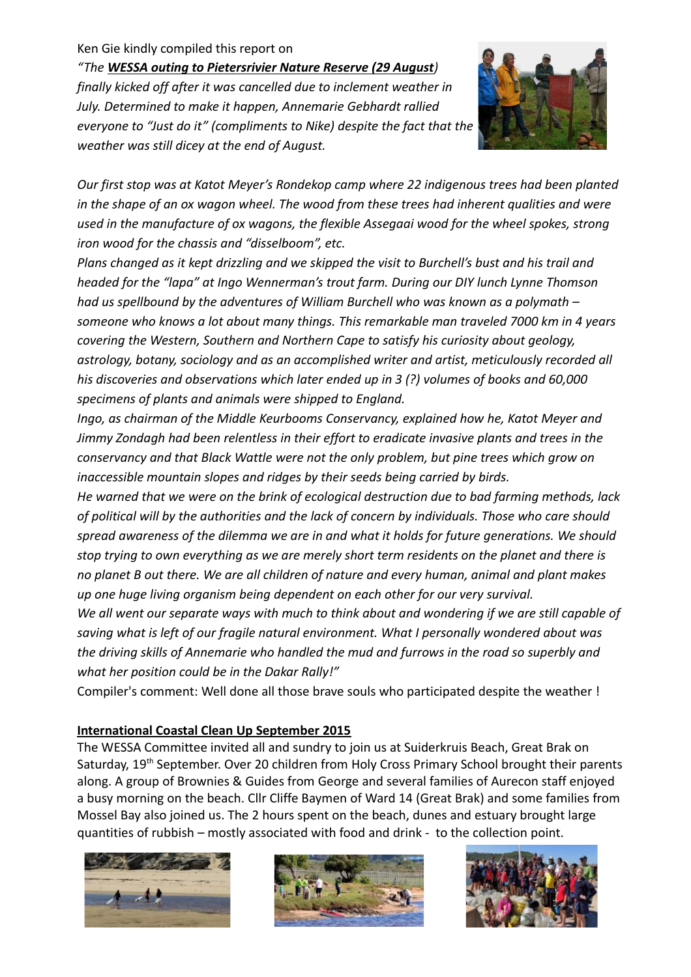# Ken Gie kindly compiled this report on

*"The WESSA outing to Pietersrivier Nature Reserve (29 August) finally kicked off after it was cancelled due to inclement weather in July. Determined to make it happen, Annemarie Gebhardt rallied everyone to "Just do it" (compliments to Nike) despite the fact that the weather was still dicey at the end of August.*



*Our first stop was at Katot Meyer's Rondekop camp where 22 indigenous trees had been planted in the shape of an ox wagon wheel. The wood from these trees had inherent qualities and were used in the manufacture of ox wagons, the flexible Assegaai wood for the wheel spokes, strong iron wood for the chassis and "disselboom", etc.*

*Plans changed as it kept drizzling and we skipped the visit to Burchell's bust and his trail and headed for the "lapa" at Ingo Wennerman's trout farm. During our DIY lunch Lynne Thomson had us spellbound by the adventures of William Burchell who was known as a polymath – someone who knows a lot about many things. This remarkable man traveled 7000 km in 4 years covering the Western, Southern and Northern Cape to satisfy his curiosity about geology, astrology, botany, sociology and as an accomplished writer and artist, meticulously recorded all his discoveries and observations which later ended up in 3 (?) volumes of books and 60,000 specimens of plants and animals were shipped to England.*

*Ingo, as chairman of the Middle Keurbooms Conservancy, explained how he, Katot Meyer and Jimmy Zondagh had been relentless in their effort to eradicate invasive plants and trees in the conservancy and that Black Wattle were not the only problem, but pine trees which grow on inaccessible mountain slopes and ridges by their seeds being carried by birds.*

*He warned that we were on the brink of ecological destruction due to bad farming methods, lack of political will by the authorities and the lack of concern by individuals. Those who care should spread awareness of the dilemma we are in and what it holds for future generations. We should stop trying to own everything as we are merely short term residents on the planet and there is no planet B out there. We are all children of nature and every human, animal and plant makes up one huge living organism being dependent on each other for our very survival.*

*We all went our separate ways with much to think about and wondering if we are still capable of saving what is left of our fragile natural environment. What I personally wondered about was the driving skills of Annemarie who handled the mud and furrows in the road so superbly and what her position could be in the Dakar Rally!"*

Compiler's comment: Well done all those brave souls who participated despite the weather !

# **International Coastal Clean Up September 2015**

The WESSA Committee invited all and sundry to join us at Suiderkruis Beach, Great Brak on Saturday, 19<sup>th</sup> September. Over 20 children from Holy Cross Primary School brought their parents along. A group of Brownies & Guides from George and several families of Aurecon staff enjoyed a busy morning on the beach. Cllr Cliffe Baymen of Ward 14 (Great Brak) and some families from Mossel Bay also joined us. The 2 hours spent on the beach, dunes and estuary brought large quantities of rubbish – mostly associated with food and drink - to the collection point.





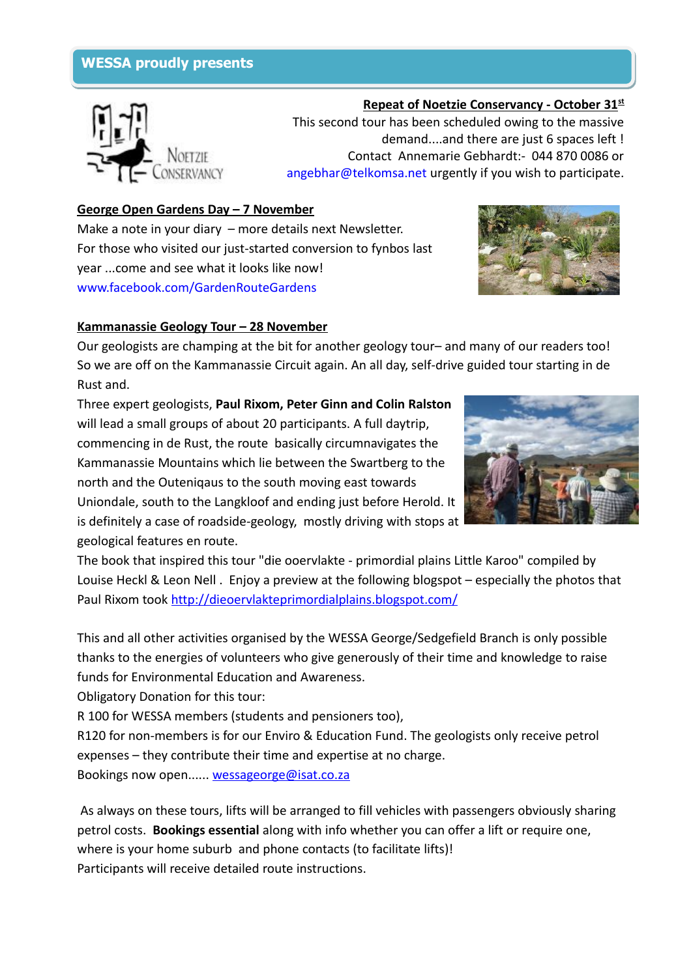# **WESSA proudly presents WESSA proudly presents**



 **Repeat of Noetzie Conservancy - October 31st** This second tour has been scheduled owing to the massive demand....and there are just 6 spaces left ! Contact Annemarie Gebhardt:- 044 870 0086 or [angebhar@telkomsa.net](mailto:angebhar@telkomsa.net) urgently if you wish to participate.

## **George Open Gardens Day – 7 November**

Make a note in your diary – more details next Newsletter. For those who visited our just-started conversion to fynbos last year ...come and see what it looks like now! [www.facebook.com/GardenRouteGardens](http://www.facebook.com/GardenRouteGardens)



## **Kammanassie Geology Tour – 28 November**

Our geologists are champing at the bit for another geology tour– and many of our readers too! So we are off on the Kammanassie Circuit again. An all day, self-drive guided tour starting in de Rust and.

Three expert geologists, **Paul Rixom, Peter Ginn and Colin Ralston** will lead a small groups of about 20 participants. A full daytrip, commencing in de Rust, the route basically circumnavigates the Kammanassie Mountains which lie between the Swartberg to the north and the Outeniqaus to the south moving east towards Uniondale, south to the Langkloof and ending just before Herold. It is definitely a case of roadside-geology, mostly driving with stops at geological features en route.



The book that inspired this tour "die ooervlakte - primordial plains Little Karoo" compiled by Louise Heckl & Leon Nell . Enjoy a preview at the following blogspot – especially the photos that Paul Rixom took<http://dieoervlakteprimordialplains.blogspot.com/>

This and all other activities organised by the WESSA George/Sedgefield Branch is only possible thanks to the energies of volunteers who give generously of their time and knowledge to raise funds for Environmental Education and Awareness.

Obligatory Donation for this tour:

R 100 for WESSA members (students and pensioners too),

R120 for non-members is for our Enviro & Education Fund. The geologists only receive petrol expenses – they contribute their time and expertise at no charge.

Bookings now open...... [wessageorge@isat.co.za](mailto:wessageorge@isat.co.za)

As always on these tours, lifts will be arranged to fill vehicles with passengers obviously sharing petrol costs. **Bookings essential** along with info whether you can offer a lift or require one, where is your home suburb and phone contacts (to facilitate lifts)! Participants will receive detailed route instructions.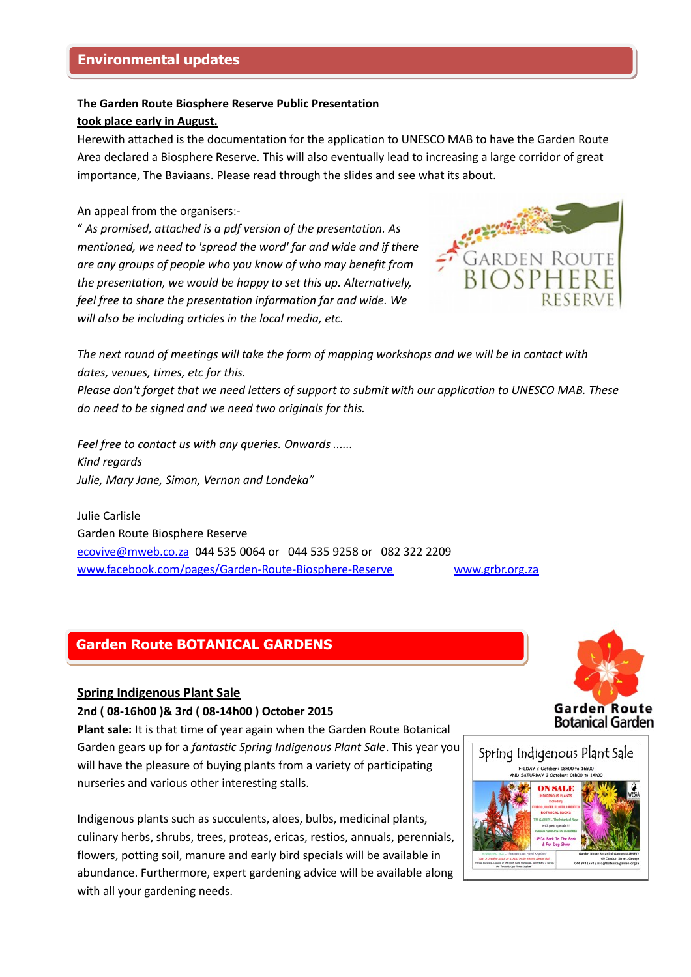#### **The Garden Route Biosphere Reserve Public Presentation**

#### **took place early in August.**

Herewith attached is the documentation for the application to UNESCO MAB to have the Garden Route Area declared a Biosphere Reserve. This will also eventually lead to increasing a large corridor of great importance, The Baviaans. Please read through the slides and see what its about.

#### An appeal from the organisers:-

" *As promised, attached is a pdf version of the presentation. As mentioned, we need to 'spread the word' far and wide and if there are any groups of people who you know of who may benefit from the presentation, we would be happy to set this up. Alternatively, feel free to share the presentation information far and wide. We will also be including articles in the local media, etc.*



*The next round of meetings will take the form of mapping workshops and we will be in contact with dates, venues, times, etc for this.*

*Please don't forget that we need letters of support to submit with our application to UNESCO MAB. These do need to be signed and we need two originals for this.*

*Feel free to contact us with any queries. Onwards ...... Kind regards Julie, Mary Jane, Simon, Vernon and Londeka"*

Julie Carlisle Garden Route Biosphere Reserve [ecovive@mweb.co.za](mailto:ecovive@mweb.co.za) 044 535 0064 or 044 535 9258 or 082 322 2209 [www.facebook.com/pages/Garden-Route-Biosphere-Reserve](http://www.facebook.com/pages/Garden-Route-Biosphere-Reserve) www.grbr.org.za

# **Garden Route BOTANICAL GARDENS Garden Route BOTANICAL GARDENS**

#### **Spring Indigenous Plant Sale**

#### **2nd ( 08-16h00 )& 3rd ( 08-14h00 ) October 2015**

**Plant sale:** It is that time of year again when the Garden Route Botanical Garden gears up for a *fantastic Spring Indigenous Plant Sale*. This year you will have the pleasure of buying plants from a variety of participating nurseries and various other interesting stalls.

Indigenous plants such as succulents, aloes, bulbs, medicinal plants, culinary herbs, shrubs, trees, proteas, ericas, restios, annuals, perennials, flowers, potting soil, manure and early bird specials will be available in abundance. Furthermore, expert gardening advice will be available along with all your gardening needs.



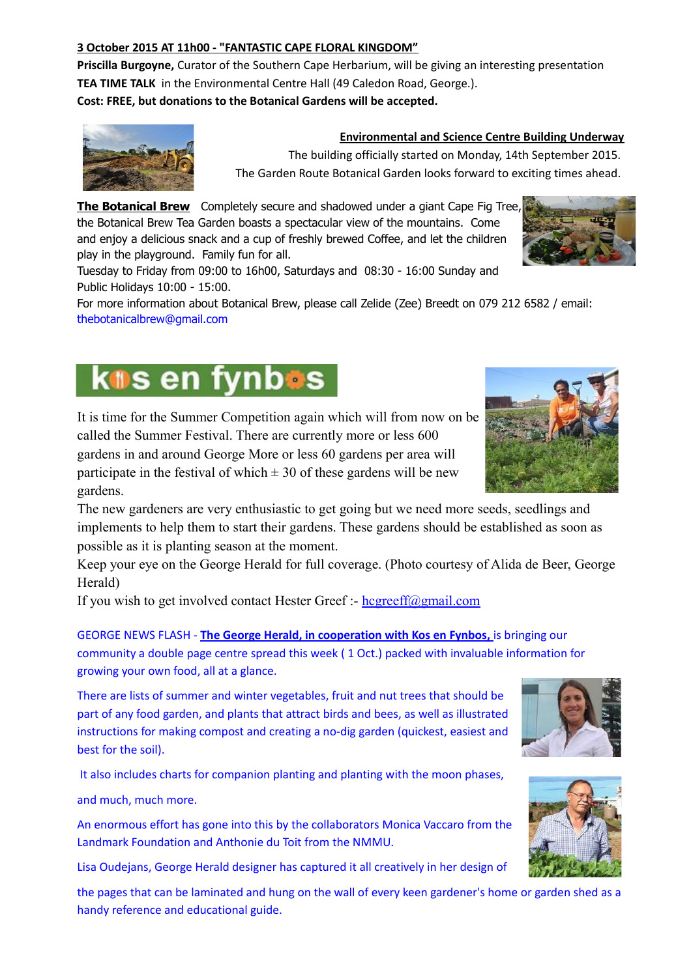### **3 October 2015 AT 11h00 - "FANTASTIC CAPE FLORAL KINGDOM"**

**Priscilla Burgoyne,** Curator of the Southern Cape Herbarium, will be giving an interesting presentation **TEA TIME TALK** in the Environmental Centre Hall (49 Caledon Road, George.). **Cost: FREE, but donations to the Botanical Gardens will be accepted.**



#### **Environmental and Science Centre Building Underway**

The building officially started on Monday, 14th September 2015. The Garden Route Botanical Garden looks forward to exciting times ahead.

**The Botanical Brew** Completely secure and shadowed under a giant Cape Fig Tree, the Botanical Brew Tea Garden boasts a spectacular view of the mountains. Come and eniov a delicious snack and a cup of freshly brewed Coffee, and let the children play in the playground. Family fun for all.

Tuesday to Friday from 09:00 to 16h00, Saturdays and 08:30 - 16:00 Sunday and Public Holidays 10:00 - 15:00.

For more information about Botanical Brew, please call Zelide (Zee) Breedt on 079 212 6582 / email: [thebotanicalbrew@gmail.com](mailto:thebotanicalbrew@gmail.com)

# kos en fynbos

It is time for the Summer Competition again which will from now on be called the Summer Festival. There are currently more or less 600 gardens in and around George More or less 60 gardens per area will participate in the festival of which  $\pm$  30 of these gardens will be new gardens.

The new gardeners are very enthusiastic to get going but we need more seeds, seedlings and implements to help them to start their gardens. These gardens should be established as soon as possible as it is planting season at the moment.

Keep your eye on the George Herald for full coverage. (Photo courtesy of Alida de Beer, George Herald)

If you wish to get involved contact Hester Greef :-  $hegreeff(\omega gmail.com)$ 

GEORGE NEWS FLASH - **The George Herald, in cooperation with Kos en Fynbos,** is bringing our community a double page centre spread this week ( 1 Oct.) packed with invaluable information for growing your own food, all at a glance.

There are lists of summer and winter vegetables, fruit and nut trees that should be part of any food garden, and plants that attract birds and bees, as well as illustrated instructions for making compost and creating a no-dig garden (quickest, easiest and best for the soil).

It also includes charts for companion planting and planting with the moon phases,

and much, much more.

An enormous effort has gone into this by the collaborators Monica Vaccaro from the Landmark Foundation and Anthonie du Toit from the NMMU.

Lisa Oudejans, George Herald designer has captured it all creatively in her design of

the pages that can be laminated and hung on the wall of every keen gardener's home or garden shed as a handy reference and educational guide.





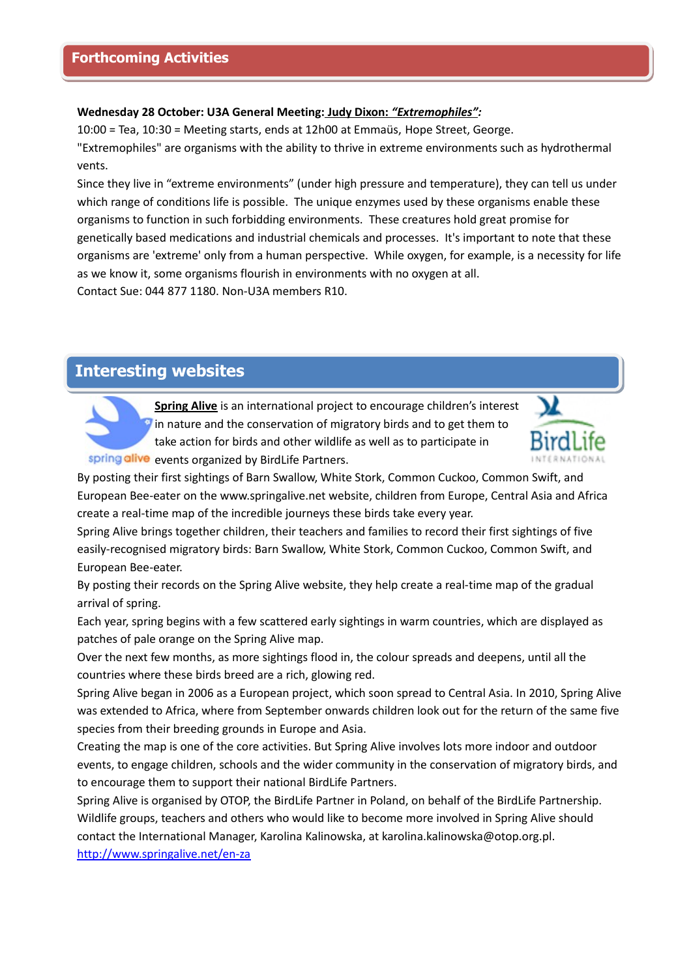#### **Wednesday 28 October: U3A General Meeting: Judy Dixon:** *" Extremophiles":*

10:00 = Tea, 10:30 = Meeting starts, ends at 12h00 at Emmaüs, Hope Street, George. "Extremophiles" are organisms with the ability to thrive in extreme environments such as hydrothermal vents.

Since they live in "extreme environments" (under high pressure and temperature), they can tell us under which range of conditions life is possible. The unique enzymes used by these organisms enable these organisms to function in such forbidding environments. These creatures hold great promise for genetically based medications and industrial chemicals and processes. It's important to note that these organisms are 'extreme' only from a human perspective. While oxygen, for example, is a necessity for life as we know it, some organisms flourish in environments with no oxygen at all.

Contact Sue: 044 877 1180. Non-U3A members R10.

# **Interesting websites Interesting websites**



**Spring Alive** is an international project to encourage children's interest in nature and the conservation of migratory birds and to get them to take action for birds and other wildlife as well as to participate in spring alive events organized by BirdLife Partners.



By posting their first sightings of Barn Swallow, White Stork, Common Cuckoo, Common Swift, and European Bee-eater on the www.springalive.net website, children from Europe, Central Asia and Africa create a real-time map of the incredible journeys these birds take every year.

Spring Alive brings together children, their teachers and families to record their first sightings of five easily-recognised migratory birds: Barn Swallow, White Stork, Common Cuckoo, Common Swift, and European Bee-eater.

By posting their records on the Spring Alive website, they help create a real-time map of the gradual arrival of spring.

Each year, spring begins with a few scattered early sightings in warm countries, which are displayed as patches of pale orange on the Spring Alive map.

Over the next few months, as more sightings flood in, the colour spreads and deepens, until all the countries where these birds breed are a rich, glowing red.

Spring Alive began in 2006 as a European project, which soon spread to Central Asia. In 2010, Spring Alive was extended to Africa, where from September onwards children look out for the return of the same five species from their breeding grounds in Europe and Asia.

Creating the map is one of the core activities. But Spring Alive involves lots more indoor and outdoor events, to engage children, schools and the wider community in the conservation of migratory birds, and to encourage them to support their national BirdLife Partners.

Spring Alive is organised by OTOP, the BirdLife Partner in Poland, on behalf of the BirdLife Partnership. Wildlife groups, teachers and others who would like to become more involved in Spring Alive should contact the International Manager, Karolina Kalinowska, at karolina.kalinowska@otop.org.pl. <http://www.springalive.net/en-za>